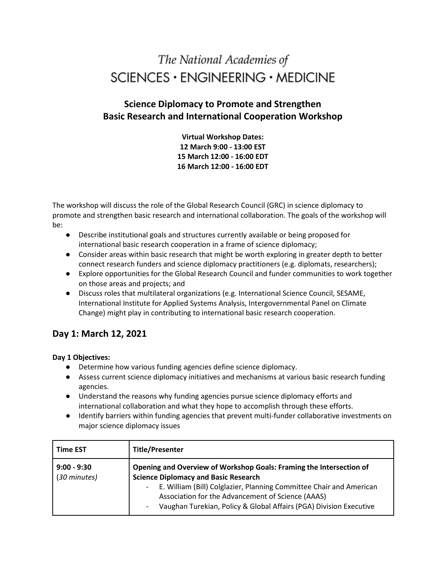# The National Academies of  $SCIENCES \cdot ENGINEERING \cdot MEDICINE$

### **Science Diplomacy to Promote and Strengthen Basic Research and International Cooperation Workshop**

**Virtual Workshop Dates: 12 March 9:00 - 13:00 EST 15 March 12:00 - 16:00 EDT 16 March 12:00 - 16:00 EDT** 

The workshop will discuss the role of the Global Research Council (GRC) in science diplomacy to promote and strengthen basic research and international collaboration. The goals of the workshop will be:

- Describe institutional goals and structures currently available or being proposed for international basic research cooperation in a frame of science diplomacy;
- Consider areas within basic research that might be worth exploring in greater depth to better connect research funders and science diplomacy practitioners (e.g. diplomats, researchers);
- Explore opportunities for the Global Research Council and funder communities to work together on those areas and projects; and
- Discuss roles that multilateral organizations (e.g. International Science Council, SESAME, International Institute for Applied Systems Analysis, Intergovernmental Panel on Climate Change) might play in contributing to international basic research cooperation.

### **Day 1: March 12, 2021**

#### **Day 1 Objectives:**

- Determine how various funding agencies define science diplomacy.
- Assess current science diplomacy initiatives and mechanisms at various basic research funding agencies.
- Understand the reasons why funding agencies pursue science diplomacy efforts and international collaboration and what they hope to accomplish through these efforts.
- Identify barriers within funding agencies that prevent multi-funder collaborative investments on major science diplomacy issues

| <b>Time EST</b>               | <b>Title/Presenter</b>                                                                                                                                                                                                                                                                                                                               |
|-------------------------------|------------------------------------------------------------------------------------------------------------------------------------------------------------------------------------------------------------------------------------------------------------------------------------------------------------------------------------------------------|
| $9:00 - 9:30$<br>(30 minutes) | Opening and Overview of Workshop Goals: Framing the Intersection of<br><b>Science Diplomacy and Basic Research</b><br>E. William (Bill) Colglazier, Planning Committee Chair and American<br>Association for the Advancement of Science (AAAS)<br>Vaughan Turekian, Policy & Global Affairs (PGA) Division Executive<br>$\qquad \qquad \blacksquare$ |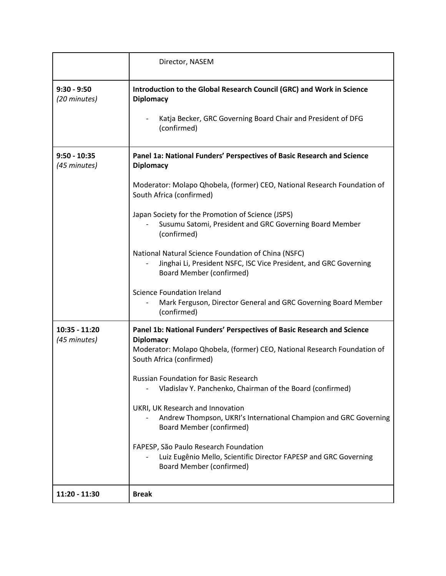|                                | Director, NASEM                                                                                                                                             |
|--------------------------------|-------------------------------------------------------------------------------------------------------------------------------------------------------------|
| $9:30 - 9:50$<br>(20 minutes)  | Introduction to the Global Research Council (GRC) and Work in Science<br><b>Diplomacy</b>                                                                   |
|                                | Katja Becker, GRC Governing Board Chair and President of DFG<br>(confirmed)                                                                                 |
| $9:50 - 10:35$<br>(45 minutes) | Panel 1a: National Funders' Perspectives of Basic Research and Science<br><b>Diplomacy</b>                                                                  |
|                                | Moderator: Molapo Qhobela, (former) CEO, National Research Foundation of<br>South Africa (confirmed)                                                        |
|                                | Japan Society for the Promotion of Science (JSPS)<br>Susumu Satomi, President and GRC Governing Board Member<br>(confirmed)                                 |
|                                | National Natural Science Foundation of China (NSFC)<br>Jinghai Li, President NSFC, ISC Vice President, and GRC Governing<br><b>Board Member (confirmed)</b> |
|                                | <b>Science Foundation Ireland</b><br>Mark Ferguson, Director General and GRC Governing Board Member<br>(confirmed)                                          |
| 10:35 - 11:20                  | Panel 1b: National Funders' Perspectives of Basic Research and Science                                                                                      |
| (45 minutes)                   | <b>Diplomacy</b><br>Moderator: Molapo Qhobela, (former) CEO, National Research Foundation of<br>South Africa (confirmed)                                    |
|                                | <b>Russian Foundation for Basic Research</b><br>Vladislav Y. Panchenko, Chairman of the Board (confirmed)                                                   |
|                                | UKRI, UK Research and Innovation<br>Andrew Thompson, UKRI's International Champion and GRC Governing<br><b>Board Member (confirmed)</b>                     |
|                                | FAPESP, São Paulo Research Foundation<br>Luiz Eugênio Mello, Scientific Director FAPESP and GRC Governing<br><b>Board Member (confirmed)</b>                |
| 11:20 - 11:30                  | <b>Break</b>                                                                                                                                                |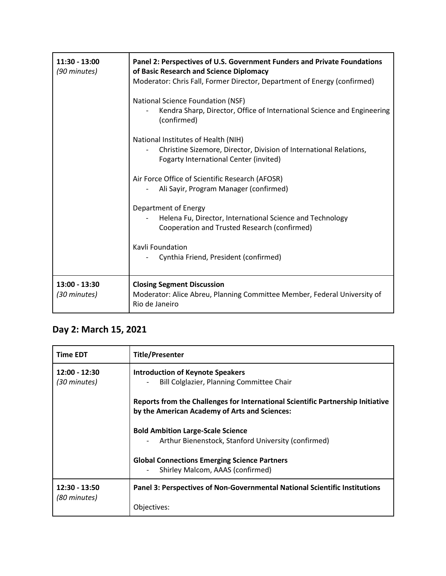| $11:30 - 13:00$<br>(90 minutes) | Panel 2: Perspectives of U.S. Government Funders and Private Foundations<br>of Basic Research and Science Diplomacy<br>Moderator: Chris Fall, Former Director, Department of Energy (confirmed) |
|---------------------------------|-------------------------------------------------------------------------------------------------------------------------------------------------------------------------------------------------|
|                                 | National Science Foundation (NSF)<br>Kendra Sharp, Director, Office of International Science and Engineering<br>(confirmed)                                                                     |
|                                 | National Institutes of Health (NIH)<br>Christine Sizemore, Director, Division of International Relations,<br><b>Fogarty International Center (invited)</b>                                      |
|                                 | Air Force Office of Scientific Research (AFOSR)<br>Ali Sayir, Program Manager (confirmed)                                                                                                       |
|                                 | Department of Energy<br>Helena Fu, Director, International Science and Technology<br>Cooperation and Trusted Research (confirmed)                                                               |
|                                 | Kavli Foundation<br>Cynthia Friend, President (confirmed)                                                                                                                                       |
| 13:00 - 13:30<br>(30 minutes)   | <b>Closing Segment Discussion</b><br>Moderator: Alice Abreu, Planning Committee Member, Federal University of<br>Rio de Janeiro                                                                 |

## **Day 2: March 15, 2021**

| <b>Time EDT</b>               | <b>Title/Presenter</b>                                                                                                           |
|-------------------------------|----------------------------------------------------------------------------------------------------------------------------------|
| 12:00 - 12:30<br>(30 minutes) | <b>Introduction of Keynote Speakers</b><br>Bill Colglazier, Planning Committee Chair                                             |
|                               | Reports from the Challenges for International Scientific Partnership Initiative<br>by the American Academy of Arts and Sciences: |
|                               | <b>Bold Ambition Large-Scale Science</b><br>Arthur Bienenstock, Stanford University (confirmed)                                  |
|                               | <b>Global Connections Emerging Science Partners</b><br>Shirley Malcom, AAAS (confirmed)                                          |
| 12:30 - 13:50<br>(80 minutes) | Panel 3: Perspectives of Non-Governmental National Scientific Institutions                                                       |
|                               | Objectives:                                                                                                                      |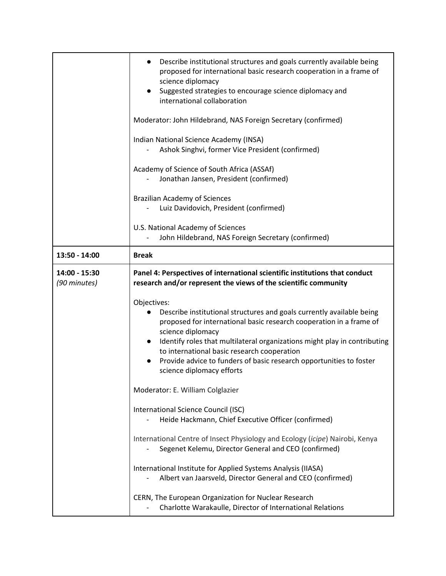|               | Describe institutional structures and goals currently available being<br>proposed for international basic research cooperation in a frame of<br>science diplomacy<br>Suggested strategies to encourage science diplomacy and<br>international collaboration                                                                                                                                                      |
|---------------|------------------------------------------------------------------------------------------------------------------------------------------------------------------------------------------------------------------------------------------------------------------------------------------------------------------------------------------------------------------------------------------------------------------|
|               | Moderator: John Hildebrand, NAS Foreign Secretary (confirmed)                                                                                                                                                                                                                                                                                                                                                    |
|               | Indian National Science Academy (INSA)<br>Ashok Singhvi, former Vice President (confirmed)                                                                                                                                                                                                                                                                                                                       |
|               | Academy of Science of South Africa (ASSAf)<br>Jonathan Jansen, President (confirmed)                                                                                                                                                                                                                                                                                                                             |
|               | <b>Brazilian Academy of Sciences</b><br>Luiz Davidovich, President (confirmed)                                                                                                                                                                                                                                                                                                                                   |
|               | U.S. National Academy of Sciences<br>John Hildebrand, NAS Foreign Secretary (confirmed)                                                                                                                                                                                                                                                                                                                          |
| 13:50 - 14:00 | <b>Break</b>                                                                                                                                                                                                                                                                                                                                                                                                     |
| 14:00 - 15:30 | Panel 4: Perspectives of international scientific institutions that conduct                                                                                                                                                                                                                                                                                                                                      |
| (90 minutes)  | research and/or represent the views of the scientific community                                                                                                                                                                                                                                                                                                                                                  |
|               | Objectives:<br>Describe institutional structures and goals currently available being<br>proposed for international basic research cooperation in a frame of<br>science diplomacy<br>Identify roles that multilateral organizations might play in contributing<br>to international basic research cooperation<br>Provide advice to funders of basic research opportunities to foster<br>science diplomacy efforts |
|               | Moderator: E. William Colglazier                                                                                                                                                                                                                                                                                                                                                                                 |
|               | International Science Council (ISC)<br>Heide Hackmann, Chief Executive Officer (confirmed)                                                                                                                                                                                                                                                                                                                       |
|               | International Centre of Insect Physiology and Ecology (icipe) Nairobi, Kenya<br>Segenet Kelemu, Director General and CEO (confirmed)                                                                                                                                                                                                                                                                             |
|               | International Institute for Applied Systems Analysis (IIASA)<br>Albert van Jaarsveld, Director General and CEO (confirmed)                                                                                                                                                                                                                                                                                       |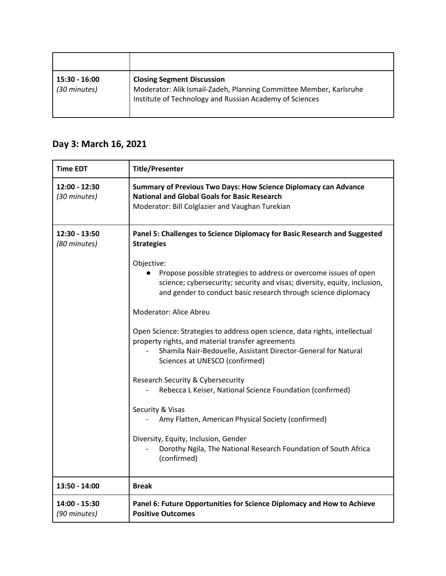| 15:30 - 16:00<br>(30 minutes) | <b>Closing Segment Discussion</b><br>Moderator: Alik Ismail-Zadeh, Planning Committee Member, Karlsruhe<br>Institute of Technology and Russian Academy of Sciences |
|-------------------------------|--------------------------------------------------------------------------------------------------------------------------------------------------------------------|

## **Day 3: March 16, 2021**

| <b>Time EDT</b>               | <b>Title/Presenter</b>                                                                                                                                                                                                                                                                                                                  |
|-------------------------------|-----------------------------------------------------------------------------------------------------------------------------------------------------------------------------------------------------------------------------------------------------------------------------------------------------------------------------------------|
| 12:00 - 12:30<br>(30 minutes) | Summary of Previous Two Days: How Science Diplomacy can Advance<br><b>National and Global Goals for Basic Research</b><br>Moderator: Bill Colglazier and Vaughan Turekian                                                                                                                                                               |
| 12:30 - 13:50<br>(80 minutes) | Panel 5: Challenges to Science Diplomacy for Basic Research and Suggested<br><b>Strategies</b>                                                                                                                                                                                                                                          |
|                               | Objective:<br>Propose possible strategies to address or overcome issues of open<br>science; cybersecurity; security and visas; diversity, equity, inclusion,<br>and gender to conduct basic research through science diplomacy<br>Moderator: Alice Abreu<br>Open Science: Strategies to address open science, data rights, intellectual |
|                               | property rights, and material transfer agreements<br>Shamila Nair-Bedouelle, Assistant Director-General for Natural<br>Sciences at UNESCO (confirmed)                                                                                                                                                                                   |
|                               | Research Security & Cybersecurity<br>Rebecca L Keiser, National Science Foundation (confirmed)                                                                                                                                                                                                                                          |
|                               | Security & Visas<br>Amy Flatten, American Physical Society (confirmed)                                                                                                                                                                                                                                                                  |
|                               | Diversity, Equity, Inclusion, Gender<br>Dorothy Ngila, The National Research Foundation of South Africa<br>(confirmed)                                                                                                                                                                                                                  |
| 13:50 - 14:00                 | <b>Break</b>                                                                                                                                                                                                                                                                                                                            |
| 14:00 - 15:30<br>(90 minutes) | Panel 6: Future Opportunities for Science Diplomacy and How to Achieve<br><b>Positive Outcomes</b>                                                                                                                                                                                                                                      |